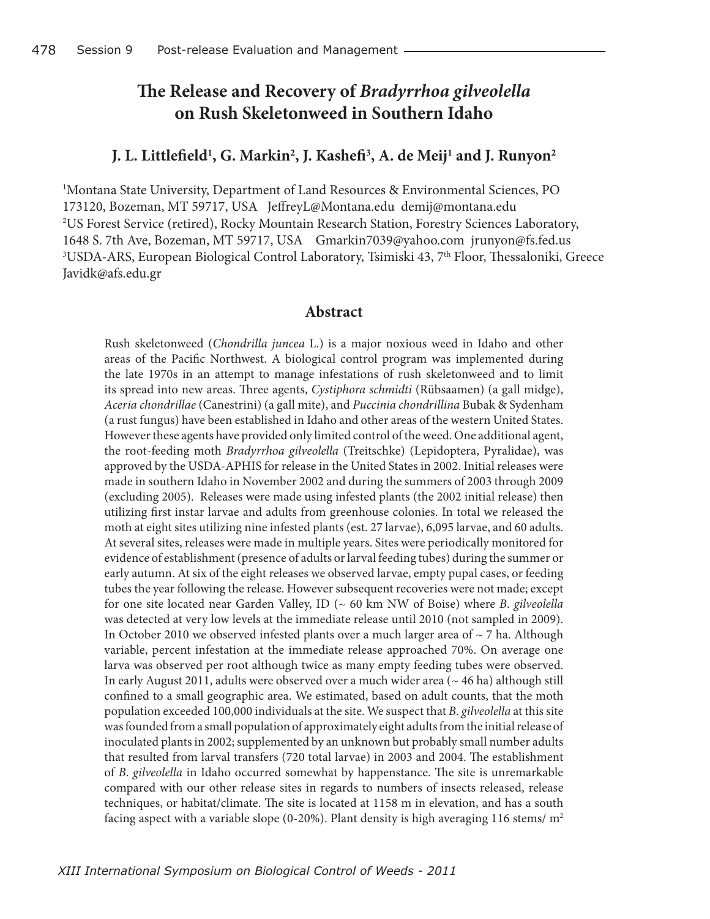## **The Release and Recovery of** *Bradyrrhoa gilveolella* **on Rush Skeletonweed in Southern Idaho**

## **J. L. Littlefield1 , G. Markin2 , J. Kashefi3 , A. de Meij1 and J. Runyon2**

1 Montana State University, Department of Land Resources & Environmental Sciences, PO 173120, Bozeman, MT 59717, USA JeffreyL@Montana.edu demij@montana.edu 2 US Forest Service (retired), Rocky Mountain Research Station, Forestry Sciences Laboratory, 1648 S. 7th Ave, Bozeman, MT 59717, USA Gmarkin7039@yahoo.com jrunyon@fs.fed.us <sup>3</sup>USDA-ARS, European Biological Control Laboratory, Tsimiski 43, 7<sup>th</sup> Floor, Thessaloniki, Greece Javidk@afs.edu.gr

## **Abstract**

Rush skeletonweed (*Chondrilla juncea* L.) is a major noxious weed in Idaho and other areas of the Pacific Northwest. A biological control program was implemented during the late 1970s in an attempt to manage infestations of rush skeletonweed and to limit its spread into new areas. Three agents, *Cystiphora schmidti* (Rübsaamen) (a gall midge), *Aceria chondrillae* (Canestrini) (a gall mite), and *Puccinia chondrillina* Bubak & Sydenham (a rust fungus) have been established in Idaho and other areas of the western United States. However these agents have provided only limited control of the weed. One additional agent, the root-feeding moth *Bradyrrhoa gilveolella* (Treitschke) (Lepidoptera, Pyralidae), was approved by the USDA-APHIS for release in the United States in 2002. Initial releases were made in southern Idaho in November 2002 and during the summers of 2003 through 2009 (excluding 2005). Releases were made using infested plants (the 2002 initial release) then utilizing first instar larvae and adults from greenhouse colonies. In total we released the moth at eight sites utilizing nine infested plants (est. 27 larvae), 6,095 larvae, and 60 adults. At several sites, releases were made in multiple years. Sites were periodically monitored for evidence of establishment (presence of adults or larval feeding tubes) during the summer or early autumn. At six of the eight releases we observed larvae, empty pupal cases, or feeding tubes the year following the release. However subsequent recoveries were not made; except for one site located near Garden Valley, ID (~ 60 km NW of Boise) where *B*. *gilveolella* was detected at very low levels at the immediate release until 2010 (not sampled in 2009). In October 2010 we observed infested plants over a much larger area of  $\sim$  7 ha. Although variable, percent infestation at the immediate release approached 70%. On average one larva was observed per root although twice as many empty feeding tubes were observed. In early August 2011, adults were observed over a much wider area ( $\sim$  46 ha) although still confined to a small geographic area. We estimated, based on adult counts, that the moth population exceeded 100,000 individuals at the site. We suspect that *B*. *gilveolella* at this site was founded from a small population of approximately eight adults from the initial release of inoculated plants in 2002; supplemented by an unknown but probably small number adults that resulted from larval transfers (720 total larvae) in 2003 and 2004. The establishment of *B*. *gilveolella* in Idaho occurred somewhat by happenstance. The site is unremarkable compared with our other release sites in regards to numbers of insects released, release techniques, or habitat/climate. The site is located at 1158 m in elevation, and has a south facing aspect with a variable slope (0-20%). Plant density is high averaging 116 stems/ $m^2$